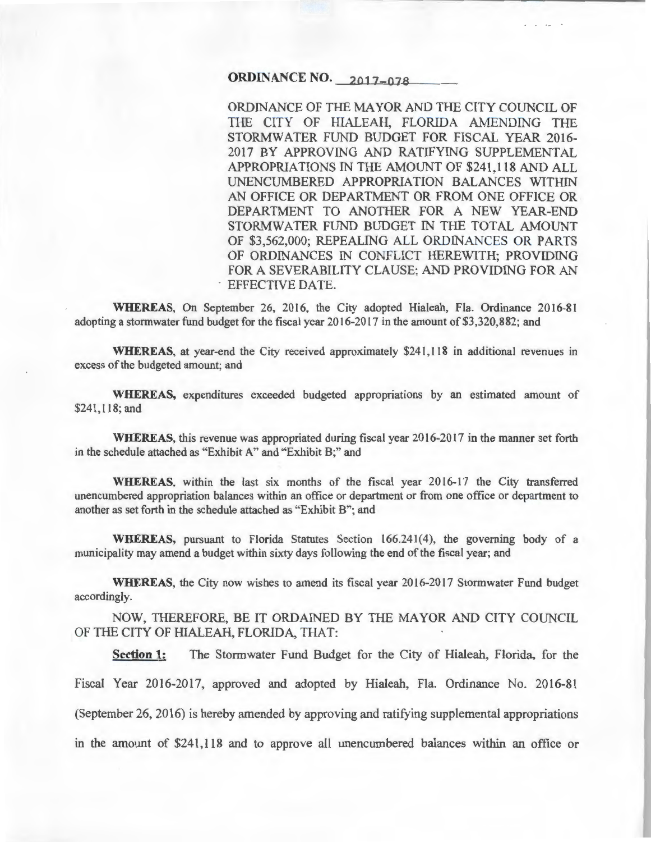## **ORDINANCE NO. 2017-078**

ORDINANCE OF THE MAYOR AND THE CITY COUNCIL OF THE CITY OF HIALEAH, FLORIDA AMENDING THE STORMW ATER FUND BUDGET FOR FISCAL YEAR 2016- 2017 BY APPROVING AND RATIFYING SUPPLEMENTAL APPROPRIATIONS IN THE AMOUNT OF \$241,118 AND ALL UNENCUMBERED APPROPRIATION BALANCES WITHIN AN OFFICE OR DEPARTMENT OR FROM ONE OFFICE OR DEPARTMENT TO ANOTHER FOR A NEW YEAR-END STORMWATER FUND BUDGET IN THE TOTAL AMOUNT OF \$3,562,000; REPEALING ALL ORDINANCES OR PARTS OF ORDINANCES IN CONFLICT HEREWITH; PROVIDING FOR A SEVERABILITY CLAUSE; AND PROVIDING FOR AN EFFECTIVE DATE.

**WHEREAS,** On September 26, 2016, the City adopted Hialeah, Fla. Ordinance 2016-81 adopting a stormwater fund budget for the fiscal year 2016-2017 in the amount of \$3,320,882; and

**WHEREAS,** at year-end the City received approximately \$241 ,118 in additional revenues in excess of the budgeted amount; and

**WHEREAS,** expenditures exceeded budgeted appropriations by an estimated amount of \$241,118; and

**WHEREAS,** this revenue was appropriated during fiscal year 2016-2017 in the manner set forth in the schedule attached as "Exhibit A" and "Exhibit B;" and

**WHEREAS,** within the last six months of the fiscal year 2016-17 the City transferred unencumbered appropriation balances within an office or department or from one office or department to another as set forth in the schedule attached as "Exhibit B"; and

**WHEREAS,** pursuant to Florida Statutes Section 166.241(4), the governing body of a municipality may amend a budget within sixty days following the end of the fiscal year; and

WHEREAS, the City now wishes to amend its fiscal year 2016-2017 Stormwater Fund budget accordingly.

NOW, THEREFORE, BE IT ORDAINED BY THE MAYOR AND CITY COUNCIL OF THE CITY OF HIALEAH, FLORIDA, THAT:

**Section 1:** The Stormwater Fund Budget for the City of Hialeah, Florida, for the Fiscal Year 2016-2017, approved and adopted by Hialeah, Fla. Ordinance No. 2016-81

(September 26, 2016) is hereby amended by approving and ratifying supplemental appropriations

in the amount of \$241 ,118 and to approve all unencumbered balances within an office or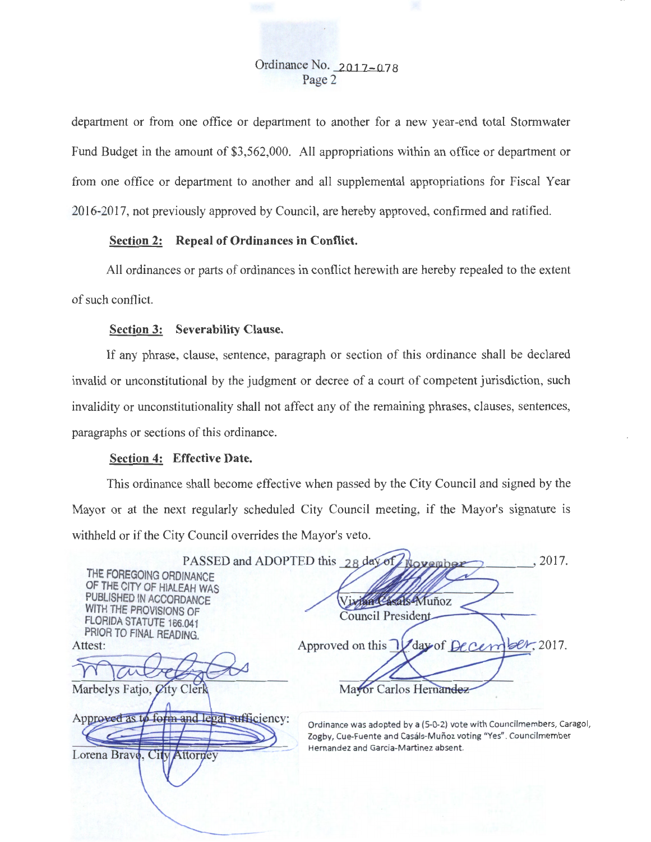Ordinance No. 2017-078 Page 2

department or from one office or department to another for a new year-end total Stormwater Fund Budget in the amount of \$3,562,000. All appropriations within an office or department or from one office or department to another and all supplemental appropriations for Fiscal Year 2016-2017, not previously approved by Council, are hereby approved, confirmed and ratified.

### Section 2: Repeal of Ordinances in Conflict.

All ordinances or parts of ordinances in conflict herewith are hereby repealed to the extent of such conflict.

#### Section 3: Severability Clause.

If any phrase, clause, sentence, paragraph or section of this ordinance shall be declared invalid or unconstitutional by the judgment or decree of a court of competent jurisdiction, such invalidity or unconstitutionality shall not affect any of the remaining phrases, clauses, sentences, paragraphs or sections of this ordinance.

#### Section 4: Effective Date.

Lorena Bravo, City Attorney

This ordinance shall become effective when passed by the City Council and signed by the Mayor or at the next regularly scheduled City Council meeting, if the Mayor's signature is withheld or if the City Council overrides the Mayor's veto.

|                                                                                                            | PASSED and ADOPTED this 28 day of worember<br>2017.                                                                              |
|------------------------------------------------------------------------------------------------------------|----------------------------------------------------------------------------------------------------------------------------------|
| THE FOREGOING ORDINANCE<br>OF THE CITY OF HIALEAH WAS<br>PUBLISHED IN ACCORDANCE<br>WITH THE PROVISIONS OF | tan Casals-Muñoz                                                                                                                 |
| FLORIDA STATUTE 166.041                                                                                    | <b>Council President</b>                                                                                                         |
| PRIOR TO FINAL READING.<br>Attest:                                                                         | Approved on this V day of December, 2017.                                                                                        |
|                                                                                                            |                                                                                                                                  |
| Marbelys Fatjo, <i>Q</i> ity Clerk                                                                         | Mayor Carlos Hernandez                                                                                                           |
| Approved as to form and legal sufficiency:                                                                 | Ordinance was adopted by a (5-0-2) vote with Councilmembers, Car<br>Zoghy Cue-Fuente and Casals-Muñoz voting "Yes" Councilmember |

Ordinance was adopted by a (5-0-2) vote with Councilmembers, Caragol, Zogby, Cue-Fuente and Casáls-Muñoz voting "Yes". Councilmember Hernandez and Garcia-Martinez absent.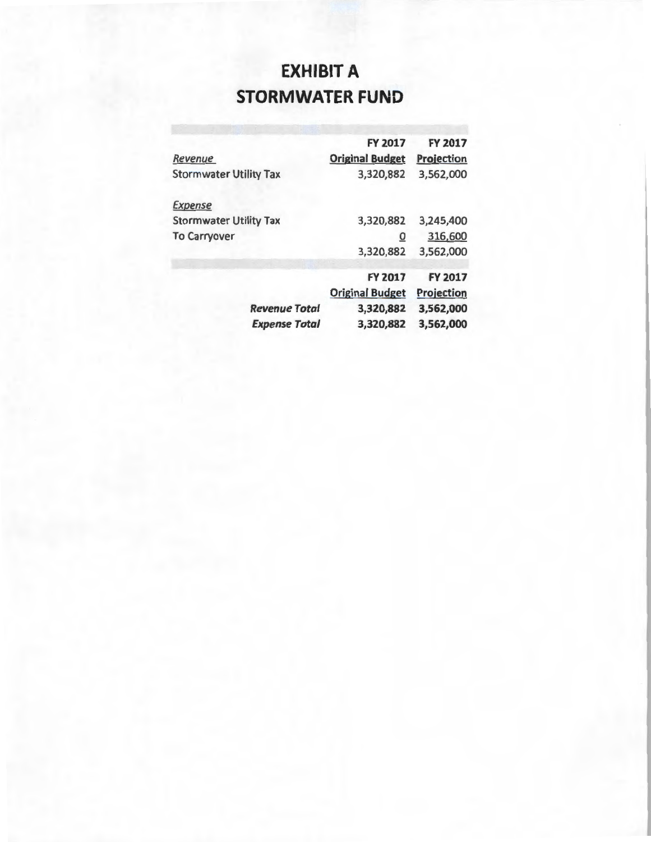# **EXHIBIT A STORMWATER FUND**

|                               | <b>FY 2017</b>         | FY 2017           |
|-------------------------------|------------------------|-------------------|
| Revenue                       | <b>Original Budget</b> | <b>Projection</b> |
| <b>Stormwater Utility Tax</b> | 3,320,882              | 3,562,000         |
| <b>Expense</b>                |                        |                   |
| <b>Stormwater Utility Tax</b> | 3,320,882              | 3,245,400         |
| <b>To Carryover</b>           | $\overline{0}$         | 316,600           |
|                               | 3,320,882              | 3,562,000         |
|                               | <b>FY 2017</b>         | <b>FY 2017</b>    |
|                               |                        |                   |
|                               | <b>Original Budget</b> | <b>Projection</b> |
| <b>Revenue Total</b>          | 3,320,882              | 3,562,000         |
| <b>Expense Total</b>          | 3,320,882              | 3,562,000         |
|                               |                        |                   |